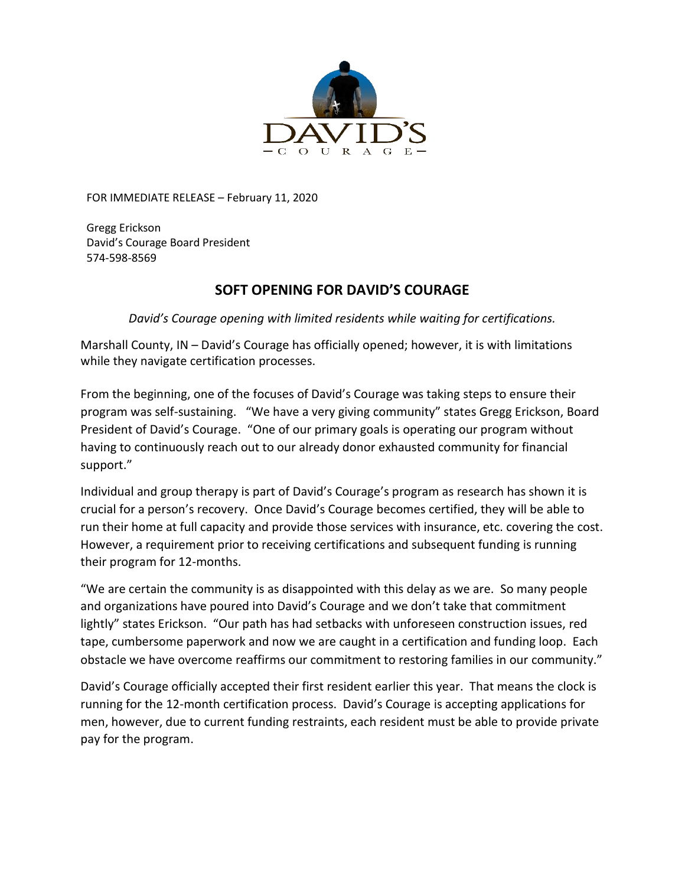

FOR IMMEDIATE RELEASE – February 11, 2020

Gregg Erickson David's Courage Board President 574-598-8569

## **SOFT OPENING FOR DAVID'S COURAGE**

*David's Courage opening with limited residents while waiting for certifications.*

Marshall County, IN – David's Courage has officially opened; however, it is with limitations while they navigate certification processes.

From the beginning, one of the focuses of David's Courage was taking steps to ensure their program was self-sustaining. "We have a very giving community" states Gregg Erickson, Board President of David's Courage. "One of our primary goals is operating our program without having to continuously reach out to our already donor exhausted community for financial support."

Individual and group therapy is part of David's Courage's program as research has shown it is crucial for a person's recovery. Once David's Courage becomes certified, they will be able to run their home at full capacity and provide those services with insurance, etc. covering the cost. However, a requirement prior to receiving certifications and subsequent funding is running their program for 12-months.

"We are certain the community is as disappointed with this delay as we are. So many people and organizations have poured into David's Courage and we don't take that commitment lightly" states Erickson. "Our path has had setbacks with unforeseen construction issues, red tape, cumbersome paperwork and now we are caught in a certification and funding loop. Each obstacle we have overcome reaffirms our commitment to restoring families in our community."

David's Courage officially accepted their first resident earlier this year. That means the clock is running for the 12-month certification process. David's Courage is accepting applications for men, however, due to current funding restraints, each resident must be able to provide private pay for the program.